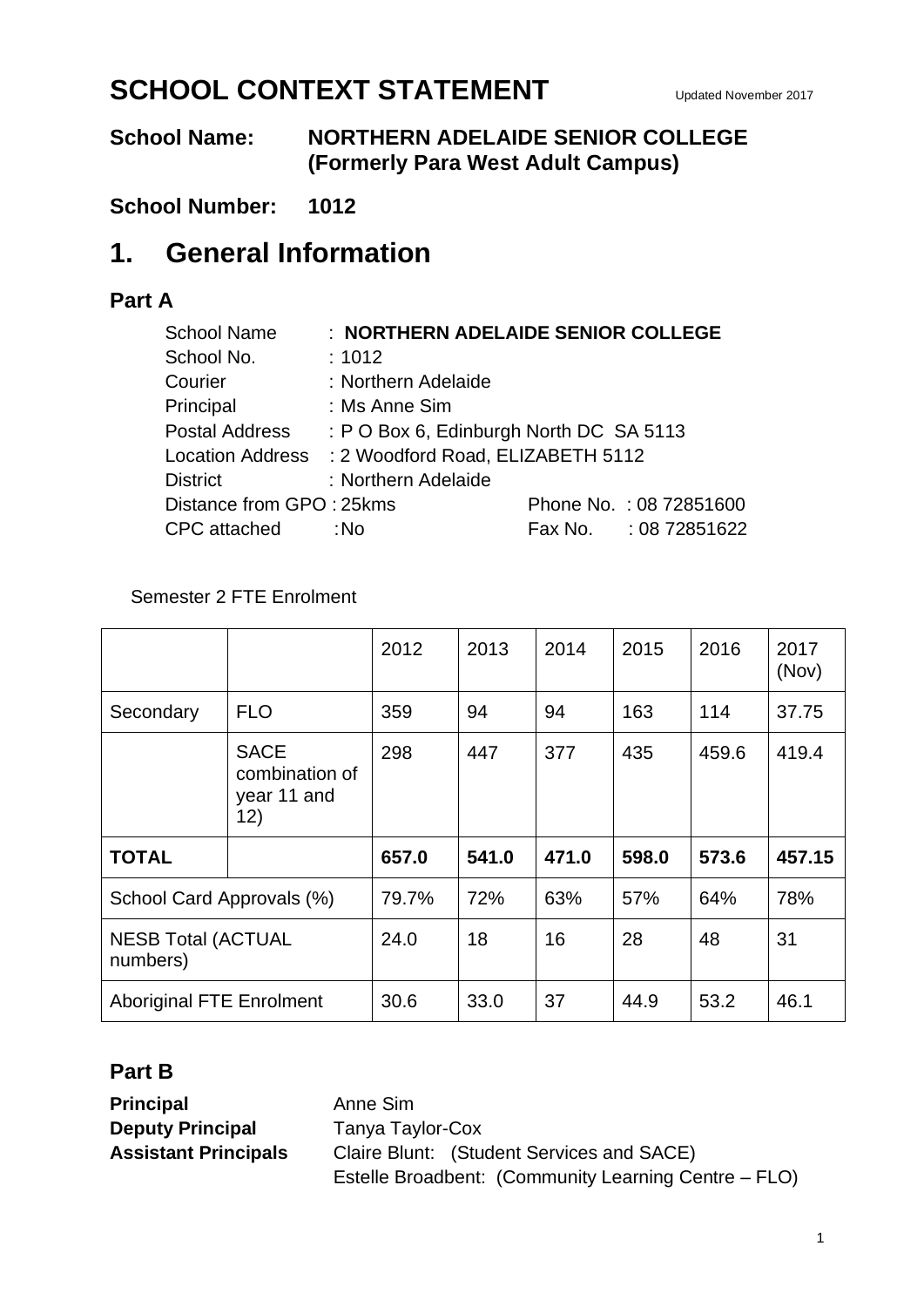# **SCHOOL CONTEXT STATEMENT** Updated November 2017

## **School Name: NORTHERN ADELAIDE SENIOR COLLEGE (Formerly Para West Adult Campus)**

## **School Number: 1012**

# **1. General Information**

## **Part A**

| <b>School Name</b>       |                                                    | : NORTHERN ADELAIDE SENIOR COLLEGE |
|--------------------------|----------------------------------------------------|------------------------------------|
| School No.               | : 1012                                             |                                    |
| Courier                  | : Northern Adelaide                                |                                    |
| Principal                | : Ms Anne Sim                                      |                                    |
| Postal Address           | : P O Box 6, Edinburgh North DC SA 5113            |                                    |
|                          | Location Address : 2 Woodford Road, ELIZABETH 5112 |                                    |
| <b>District</b>          | : Northern Adelaide                                |                                    |
| Distance from GPO: 25kms |                                                    | Phone No.: 08 72851600             |
| <b>CPC</b> attached      | ∶No                                                | Fax No. : 08 72851622              |

### Semester 2 FTE Enrolment

|                                       |                                                     | 2012  | 2013  | 2014  | 2015  | 2016  | 2017<br>(Nov) |
|---------------------------------------|-----------------------------------------------------|-------|-------|-------|-------|-------|---------------|
| Secondary                             | <b>FLO</b>                                          | 359   | 94    | 94    | 163   | 114   | 37.75         |
|                                       | <b>SACE</b><br>combination of<br>year 11 and<br>12) | 298   | 447   | 377   | 435   | 459.6 | 419.4         |
| <b>TOTAL</b>                          |                                                     | 657.0 | 541.0 | 471.0 | 598.0 | 573.6 | 457.15        |
| School Card Approvals (%)             |                                                     | 79.7% | 72%   | 63%   | 57%   | 64%   | 78%           |
| <b>NESB Total (ACTUAL</b><br>numbers) |                                                     | 24.0  | 18    | 16    | 28    | 48    | 31            |
| <b>Aboriginal FTE Enrolment</b>       |                                                     | 30.6  | 33.0  | 37    | 44.9  | 53.2  | 46.1          |

## **Part B**

**Principal Anne Sim Deputy Principal** Tanya Taylor-Cox

**Assistant Principals** Claire Blunt: (Student Services and SACE) Estelle Broadbent: (Community Learning Centre – FLO)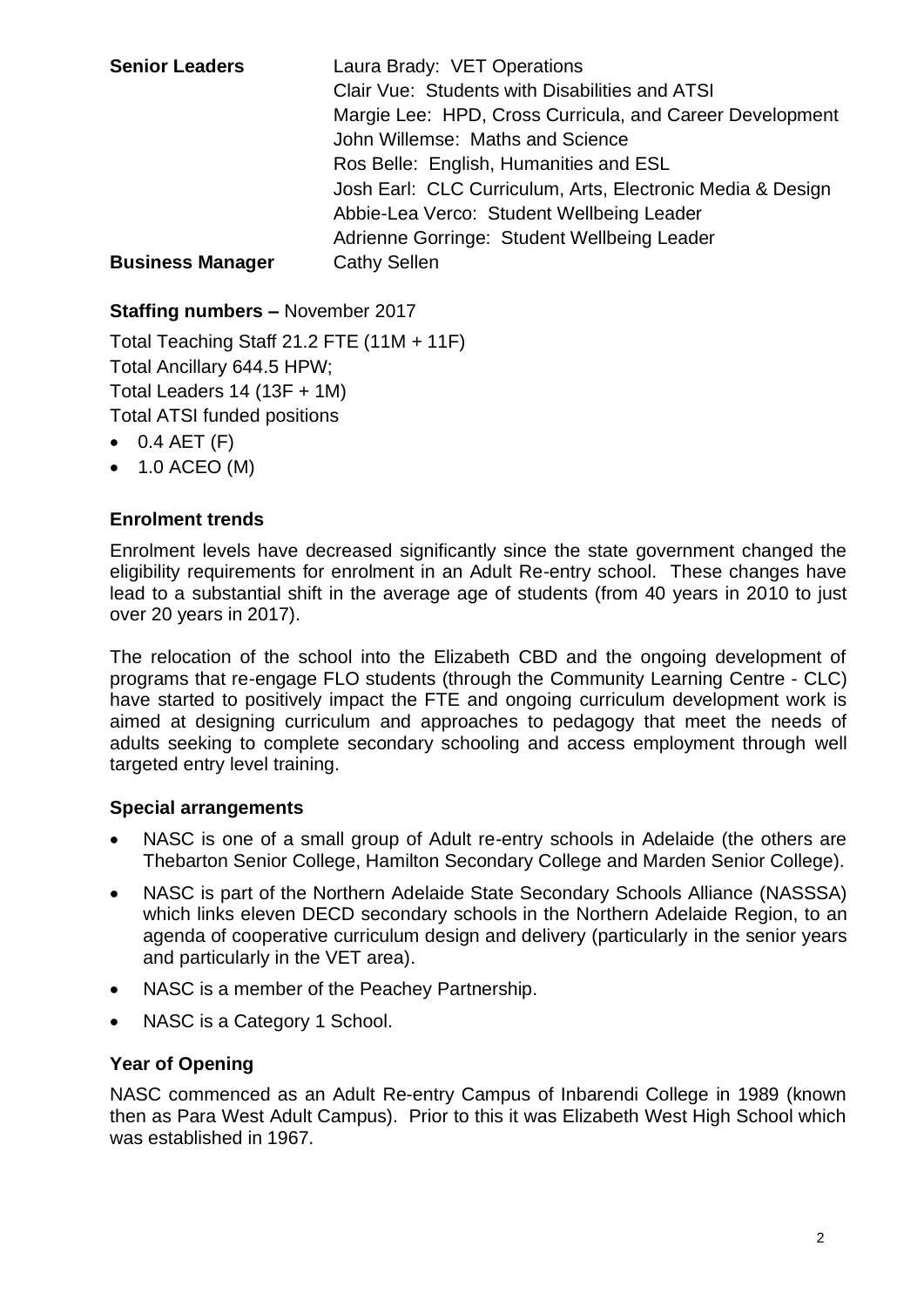| <b>Senior Leaders</b>   | Laura Brady: VET Operations<br>Clair Vue: Students with Disabilities and ATSI<br>Margie Lee: HPD, Cross Curricula, and Career Development |
|-------------------------|-------------------------------------------------------------------------------------------------------------------------------------------|
|                         | John Willemse: Maths and Science                                                                                                          |
|                         | Ros Belle: English, Humanities and ESL                                                                                                    |
|                         | Josh Earl: CLC Curriculum, Arts, Electronic Media & Design                                                                                |
|                         | Abbie-Lea Verco: Student Wellbeing Leader                                                                                                 |
|                         | Adrienne Gorringe: Student Wellbeing Leader                                                                                               |
| <b>Business Manager</b> | <b>Cathy Sellen</b>                                                                                                                       |

### **Staffing numbers –** November 2017

Total Teaching Staff 21.2 FTE (11M + 11F) Total Ancillary 644.5 HPW; Total Leaders 14 (13F + 1M) Total ATSI funded positions

- $\bullet$  0.4 AET (F)
- $\bullet$  1.0 ACEO (M)

### **Enrolment trends**

Enrolment levels have decreased significantly since the state government changed the eligibility requirements for enrolment in an Adult Re-entry school. These changes have lead to a substantial shift in the average age of students (from 40 years in 2010 to just over 20 years in 2017).

The relocation of the school into the Elizabeth CBD and the ongoing development of programs that re-engage FLO students (through the Community Learning Centre - CLC) have started to positively impact the FTE and ongoing curriculum development work is aimed at designing curriculum and approaches to pedagogy that meet the needs of adults seeking to complete secondary schooling and access employment through well targeted entry level training.

### **Special arrangements**

- NASC is one of a small group of Adult re-entry schools in Adelaide (the others are Thebarton Senior College, Hamilton Secondary College and Marden Senior College).
- NASC is part of the Northern Adelaide State Secondary Schools Alliance (NASSSA) which links eleven DECD secondary schools in the Northern Adelaide Region, to an agenda of cooperative curriculum design and delivery (particularly in the senior years and particularly in the VET area).
- NASC is a member of the Peachey Partnership.
- NASC is a Category 1 School.

### **Year of Opening**

NASC commenced as an Adult Re-entry Campus of Inbarendi College in 1989 (known then as Para West Adult Campus). Prior to this it was Elizabeth West High School which was established in 1967.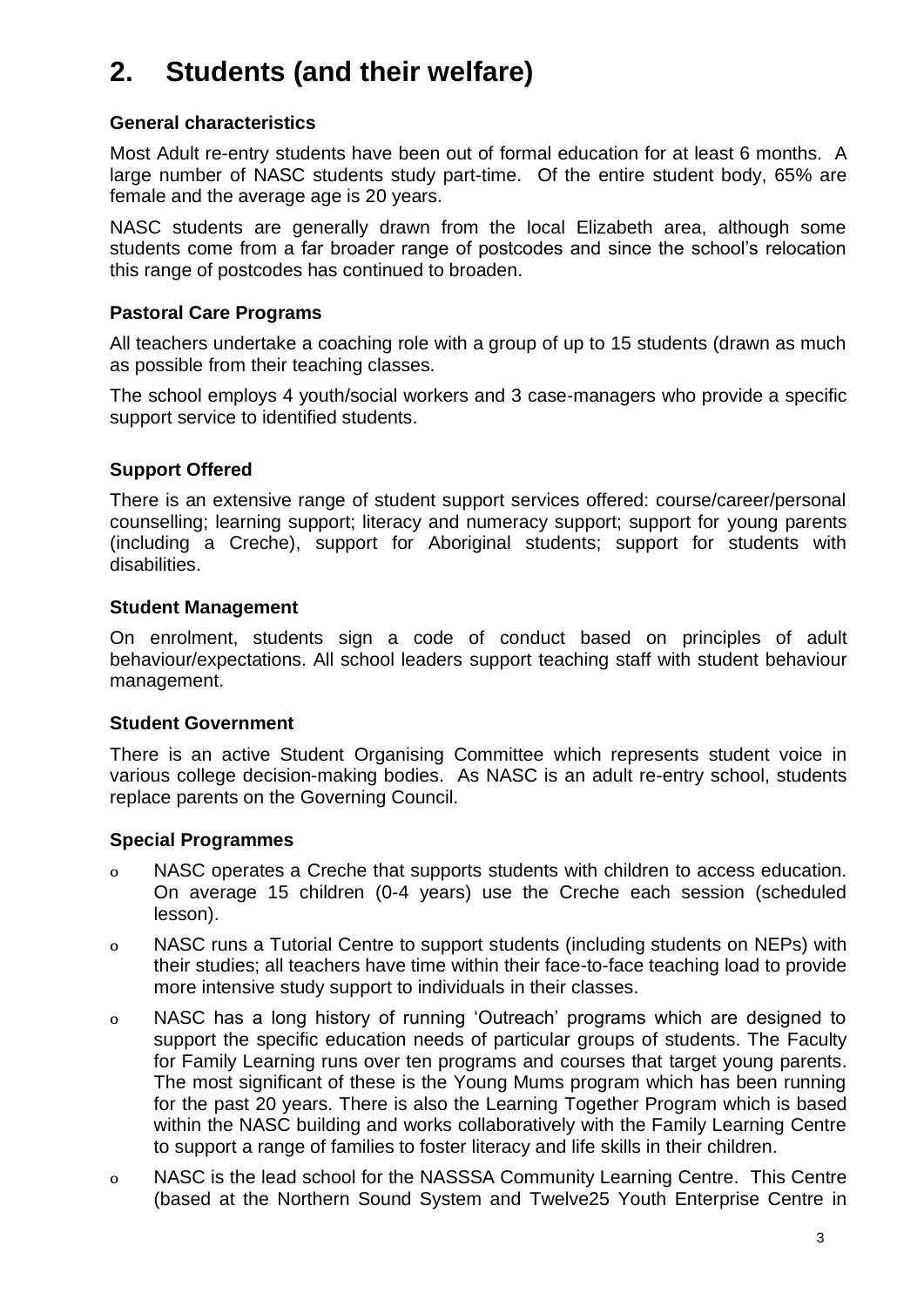## **2. Students (and their welfare)**

### **General characteristics**

Most Adult re-entry students have been out of formal education for at least 6 months. A large number of NASC students study part-time. Of the entire student body, 65% are female and the average age is 20 years.

NASC students are generally drawn from the local Elizabeth area, although some students come from a far broader range of postcodes and since the school's relocation this range of postcodes has continued to broaden.

### **Pastoral Care Programs**

All teachers undertake a coaching role with a group of up to 15 students (drawn as much as possible from their teaching classes.

The school employs 4 youth/social workers and 3 case-managers who provide a specific support service to identified students.

## **Support Offered**

There is an extensive range of student support services offered: course/career/personal counselling; learning support; literacy and numeracy support; support for young parents (including a Creche), support for Aboriginal students; support for students with disabilities.

#### **Student Management**

On enrolment, students sign a code of conduct based on principles of adult behaviour/expectations. All school leaders support teaching staff with student behaviour management.

### **Student Government**

There is an active Student Organising Committee which represents student voice in various college decision-making bodies. As NASC is an adult re-entry school, students replace parents on the Governing Council.

### **Special Programmes**

- 0 NASC operates a Creche that supports students with children to access education. On average 15 children (0-4 years) use the Creche each session (scheduled lesson).
- 0 NASC runs a Tutorial Centre to support students (including students on NEPs) with their studies; all teachers have time within their face-to-face teaching load to provide more intensive study support to individuals in their classes.
- 0 NASC has a long history of running 'Outreach' programs which are designed to support the specific education needs of particular groups of students. The Faculty for Family Learning runs over ten programs and courses that target young parents. The most significant of these is the Young Mums program which has been running for the past 20 years. There is also the Learning Together Program which is based within the NASC building and works collaboratively with the Family Learning Centre to support a range of families to foster literacy and life skills in their children.
- 0 NASC is the lead school for the NASSSA Community Learning Centre. This Centre (based at the Northern Sound System and Twelve25 Youth Enterprise Centre in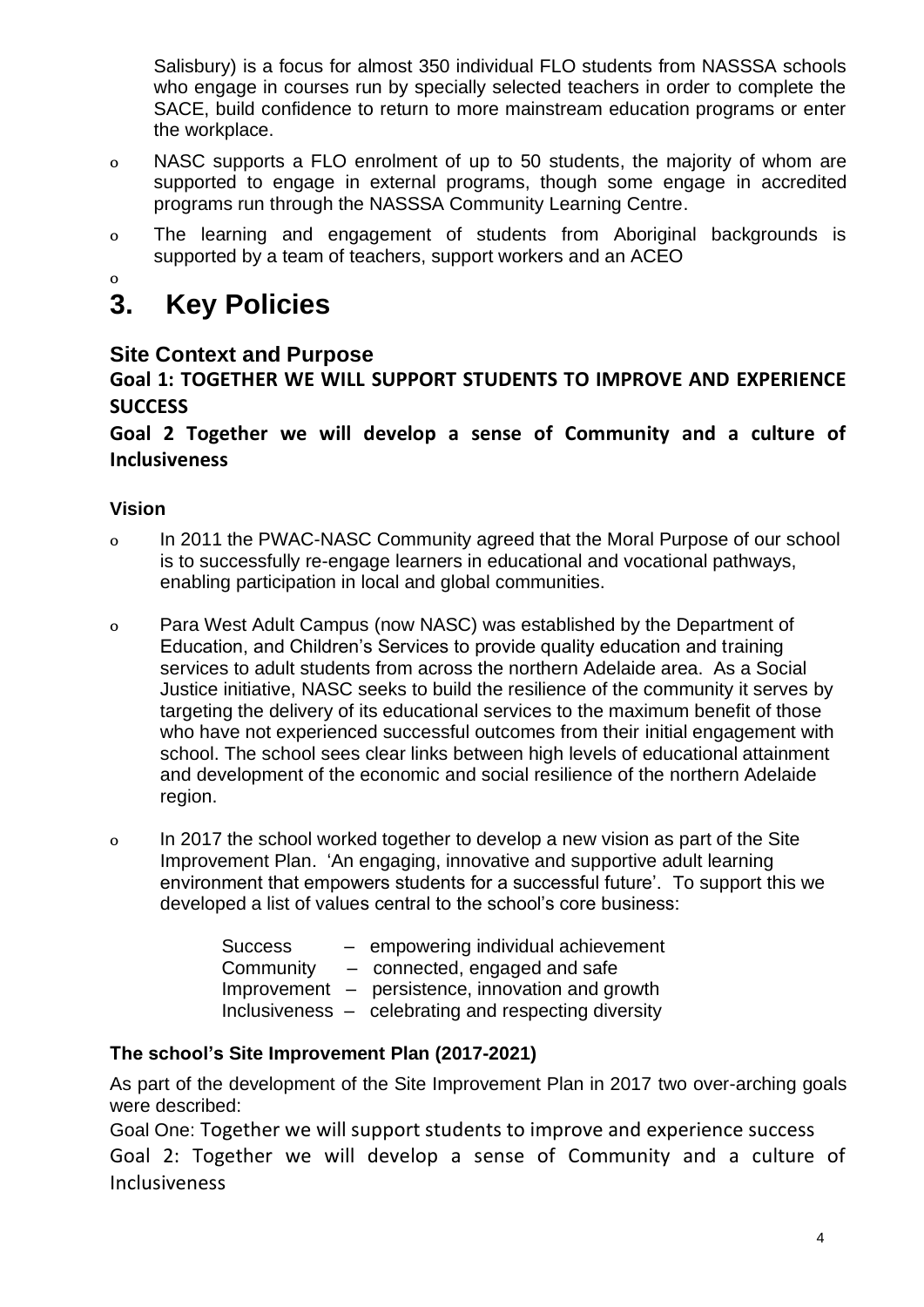Salisbury) is a focus for almost 350 individual FLO students from NASSSA schools who engage in courses run by specially selected teachers in order to complete the SACE, build confidence to return to more mainstream education programs or enter the workplace.

- 0 NASC supports a FLO enrolment of up to 50 students, the majority of whom are supported to engage in external programs, though some engage in accredited programs run through the NASSSA Community Learning Centre.
- 0 The learning and engagement of students from Aboriginal backgrounds is supported by a team of teachers, support workers and an ACEO
- 

## $\overset{\circ}{3}$ . **3. Key Policies**

## **Site Context and Purpose**

## **Goal 1: TOGETHER WE WILL SUPPORT STUDENTS TO IMPROVE AND EXPERIENCE SUCCESS**

## **Goal 2 Together we will develop a sense of Community and a culture of Inclusiveness**

## **Vision**

- 0 In 2011 the PWAC-NASC Community agreed that the Moral Purpose of our school is to successfully re-engage learners in educational and vocational pathways, enabling participation in local and global communities.
- 0 Para West Adult Campus (now NASC) was established by the Department of Education, and Children's Services to provide quality education and training services to adult students from across the northern Adelaide area. As a Social Justice initiative, NASC seeks to build the resilience of the community it serves by targeting the delivery of its educational services to the maximum benefit of those who have not experienced successful outcomes from their initial engagement with school. The school sees clear links between high levels of educational attainment and development of the economic and social resilience of the northern Adelaide region.
- 0 In 2017 the school worked together to develop a new vision as part of the Site Improvement Plan. 'An engaging, innovative and supportive adult learning environment that empowers students for a successful future'. To support this we developed a list of values central to the school's core business:

| <b>Success</b> | - empowering individual achievement                  |
|----------------|------------------------------------------------------|
| Community      | - connected, engaged and safe                        |
|                | Improvement – persistence, innovation and growth     |
|                | Inclusiveness – celebrating and respecting diversity |

## **The school's Site Improvement Plan (2017-2021)**

As part of the development of the Site Improvement Plan in 2017 two over-arching goals were described:

Goal One: Together we will support students to improve and experience success Goal 2: Together we will develop a sense of Community and a culture of Inclusiveness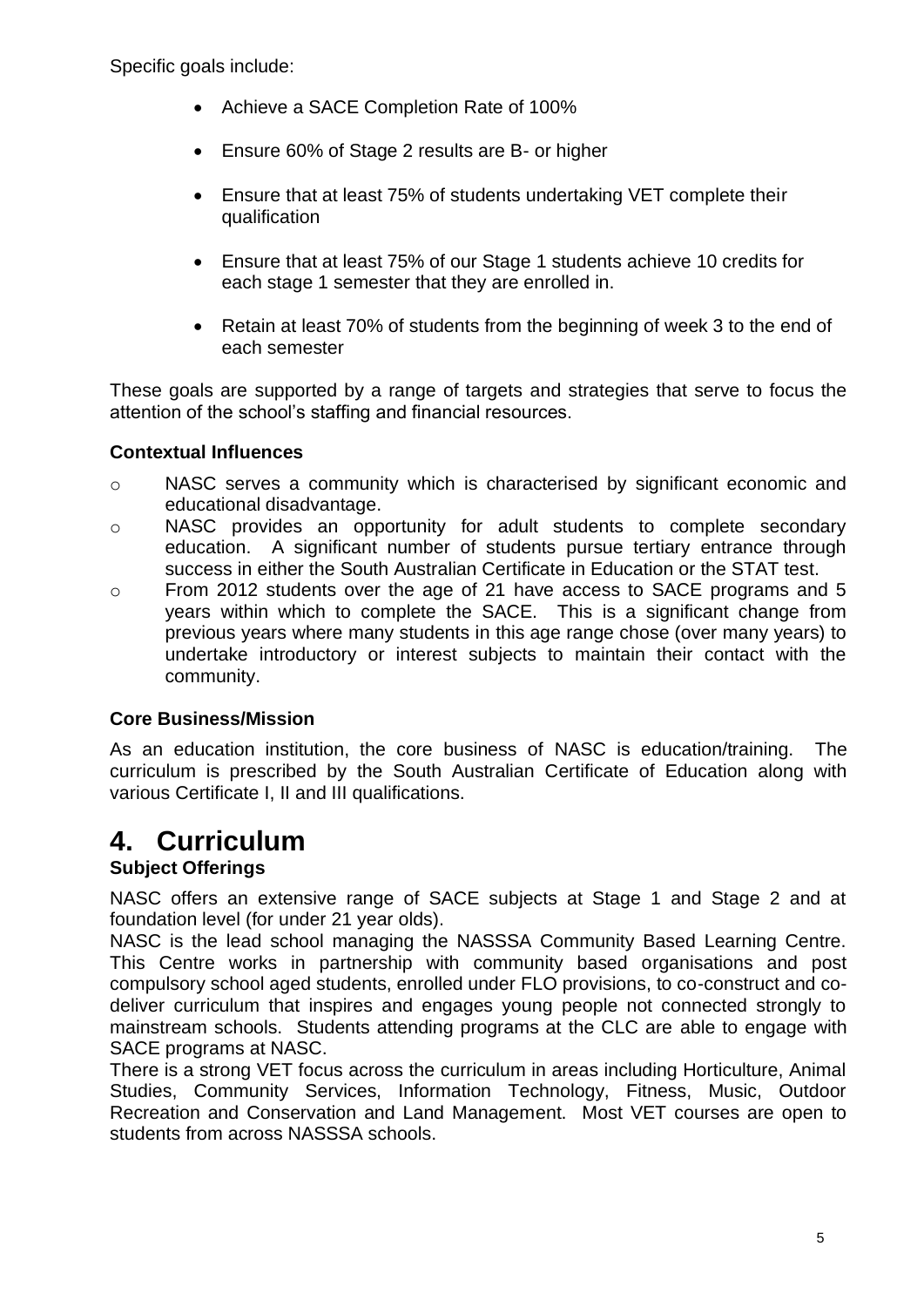Specific goals include:

- Achieve a SACE Completion Rate of 100%
- Ensure 60% of Stage 2 results are B- or higher
- Ensure that at least 75% of students undertaking VET complete their qualification
- Ensure that at least 75% of our Stage 1 students achieve 10 credits for each stage 1 semester that they are enrolled in.
- Retain at least 70% of students from the beginning of week 3 to the end of each semester

These goals are supported by a range of targets and strategies that serve to focus the attention of the school's staffing and financial resources.

### **Contextual Influences**

- o NASC serves a community which is characterised by significant economic and educational disadvantage.
- o NASC provides an opportunity for adult students to complete secondary education. A significant number of students pursue tertiary entrance through success in either the South Australian Certificate in Education or the STAT test.
- o From 2012 students over the age of 21 have access to SACE programs and 5 years within which to complete the SACE. This is a significant change from previous years where many students in this age range chose (over many years) to undertake introductory or interest subjects to maintain their contact with the community.

### **Core Business/Mission**

As an education institution, the core business of NASC is education/training. The curriculum is prescribed by the South Australian Certificate of Education along with various Certificate I, II and III qualifications.

## **4. Curriculum**

## **Subject Offerings**

NASC offers an extensive range of SACE subjects at Stage 1 and Stage 2 and at foundation level (for under 21 year olds).

NASC is the lead school managing the NASSSA Community Based Learning Centre. This Centre works in partnership with community based organisations and post compulsory school aged students, enrolled under FLO provisions, to co-construct and codeliver curriculum that inspires and engages young people not connected strongly to mainstream schools. Students attending programs at the CLC are able to engage with SACE programs at NASC.

There is a strong VET focus across the curriculum in areas including Horticulture, Animal Studies, Community Services, Information Technology, Fitness, Music, Outdoor Recreation and Conservation and Land Management. Most VET courses are open to students from across NASSSA schools.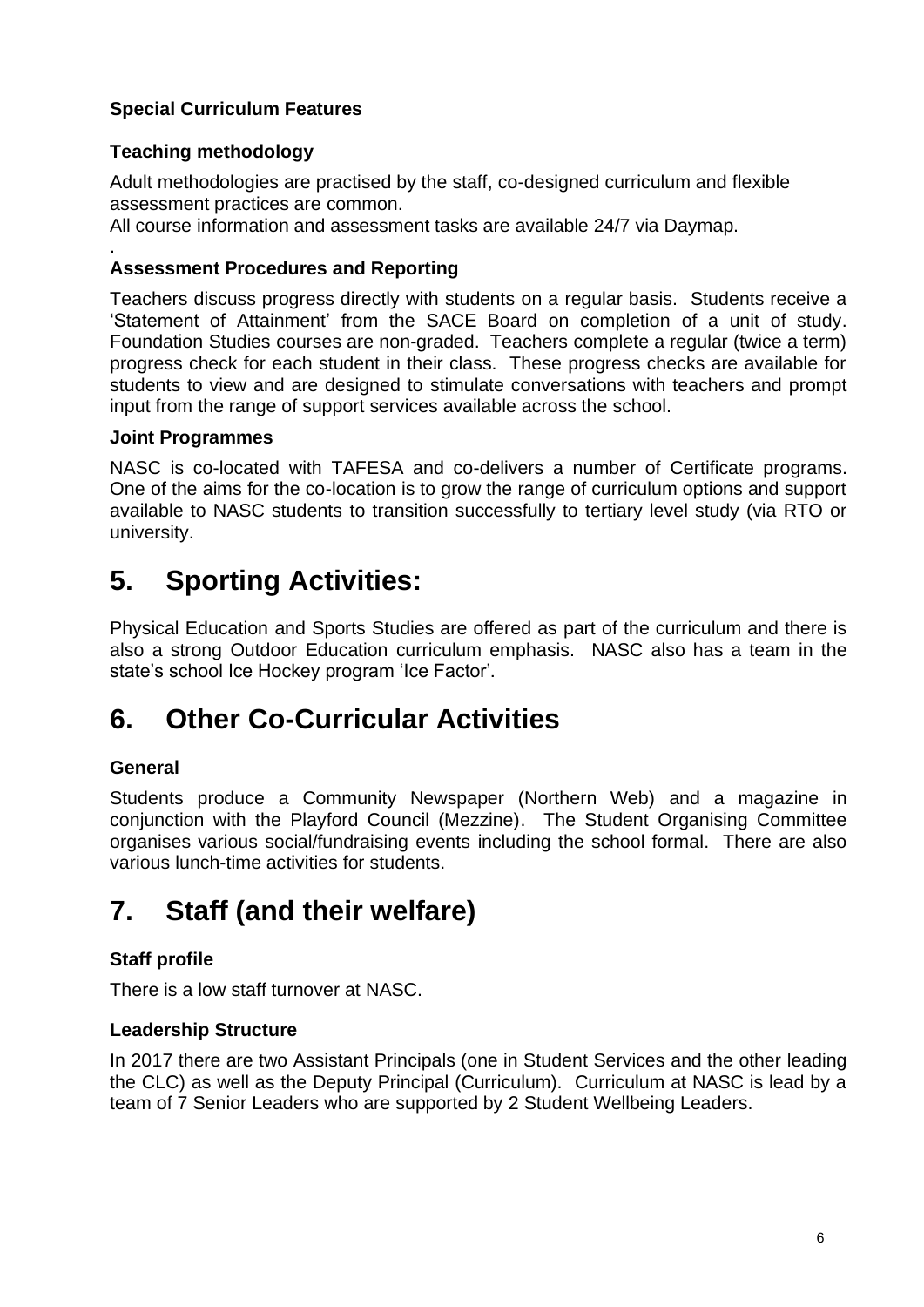## **Special Curriculum Features**

## **Teaching methodology**

Adult methodologies are practised by the staff, co-designed curriculum and flexible assessment practices are common.

All course information and assessment tasks are available 24/7 via Daymap.

#### . **Assessment Procedures and Reporting**

Teachers discuss progress directly with students on a regular basis. Students receive a 'Statement of Attainment' from the SACE Board on completion of a unit of study. Foundation Studies courses are non-graded. Teachers complete a regular (twice a term) progress check for each student in their class. These progress checks are available for students to view and are designed to stimulate conversations with teachers and prompt input from the range of support services available across the school.

### **Joint Programmes**

NASC is co-located with TAFESA and co-delivers a number of Certificate programs. One of the aims for the co-location is to grow the range of curriculum options and support available to NASC students to transition successfully to tertiary level study (via RTO or university.

## **5. Sporting Activities:**

Physical Education and Sports Studies are offered as part of the curriculum and there is also a strong Outdoor Education curriculum emphasis. NASC also has a team in the state's school Ice Hockey program 'Ice Factor'.

## **6. Other Co-Curricular Activities**

## **General**

Students produce a Community Newspaper (Northern Web) and a magazine in conjunction with the Playford Council (Mezzine). The Student Organising Committee organises various social/fundraising events including the school formal. There are also various lunch-time activities for students.

## **7. Staff (and their welfare)**

## **Staff profile**

There is a low staff turnover at NASC.

### **Leadership Structure**

In 2017 there are two Assistant Principals (one in Student Services and the other leading the CLC) as well as the Deputy Principal (Curriculum). Curriculum at NASC is lead by a team of 7 Senior Leaders who are supported by 2 Student Wellbeing Leaders.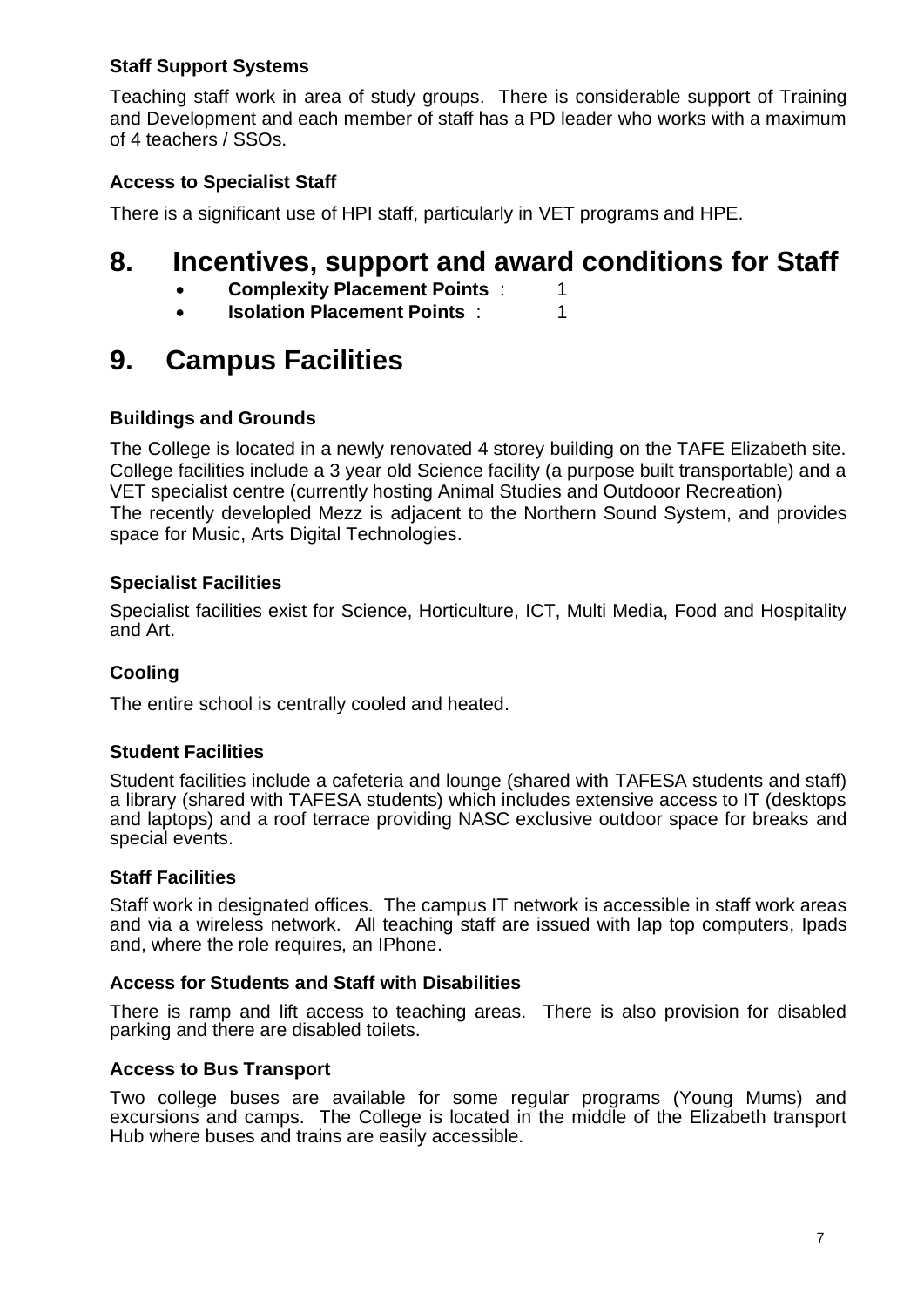### **Staff Support Systems**

Teaching staff work in area of study groups. There is considerable support of Training and Development and each member of staff has a PD leader who works with a maximum of 4 teachers / SSOs.

## **Access to Specialist Staff**

There is a significant use of HPI staff, particularly in VET programs and HPE.

## **8. Incentives, support and award conditions for Staff**

- **Complexity Placement Points : 1**
- **Isolation Placement Points : 1**

## **9. Campus Facilities**

### **Buildings and Grounds**

The College is located in a newly renovated 4 storey building on the TAFE Elizabeth site. College facilities include a 3 year old Science facility (a purpose built transportable) and a VET specialist centre (currently hosting Animal Studies and Outdooor Recreation) The recently developled Mezz is adjacent to the Northern Sound System, and provides space for Music, Arts Digital Technologies.

### **Specialist Facilities**

Specialist facilities exist for Science, Horticulture, ICT, Multi Media, Food and Hospitality and Art.

## **Cooling**

The entire school is centrally cooled and heated.

### **Student Facilities**

Student facilities include a cafeteria and lounge (shared with TAFESA students and staff) a library (shared with TAFESA students) which includes extensive access to IT (desktops and laptops) and a roof terrace providing NASC exclusive outdoor space for breaks and special events.

### **Staff Facilities**

Staff work in designated offices. The campus IT network is accessible in staff work areas and via a wireless network. All teaching staff are issued with lap top computers, Ipads and, where the role requires, an IPhone.

#### **Access for Students and Staff with Disabilities**

There is ramp and lift access to teaching areas. There is also provision for disabled parking and there are disabled toilets.

### **Access to Bus Transport**

Two college buses are available for some regular programs (Young Mums) and excursions and camps. The College is located in the middle of the Elizabeth transport Hub where buses and trains are easily accessible.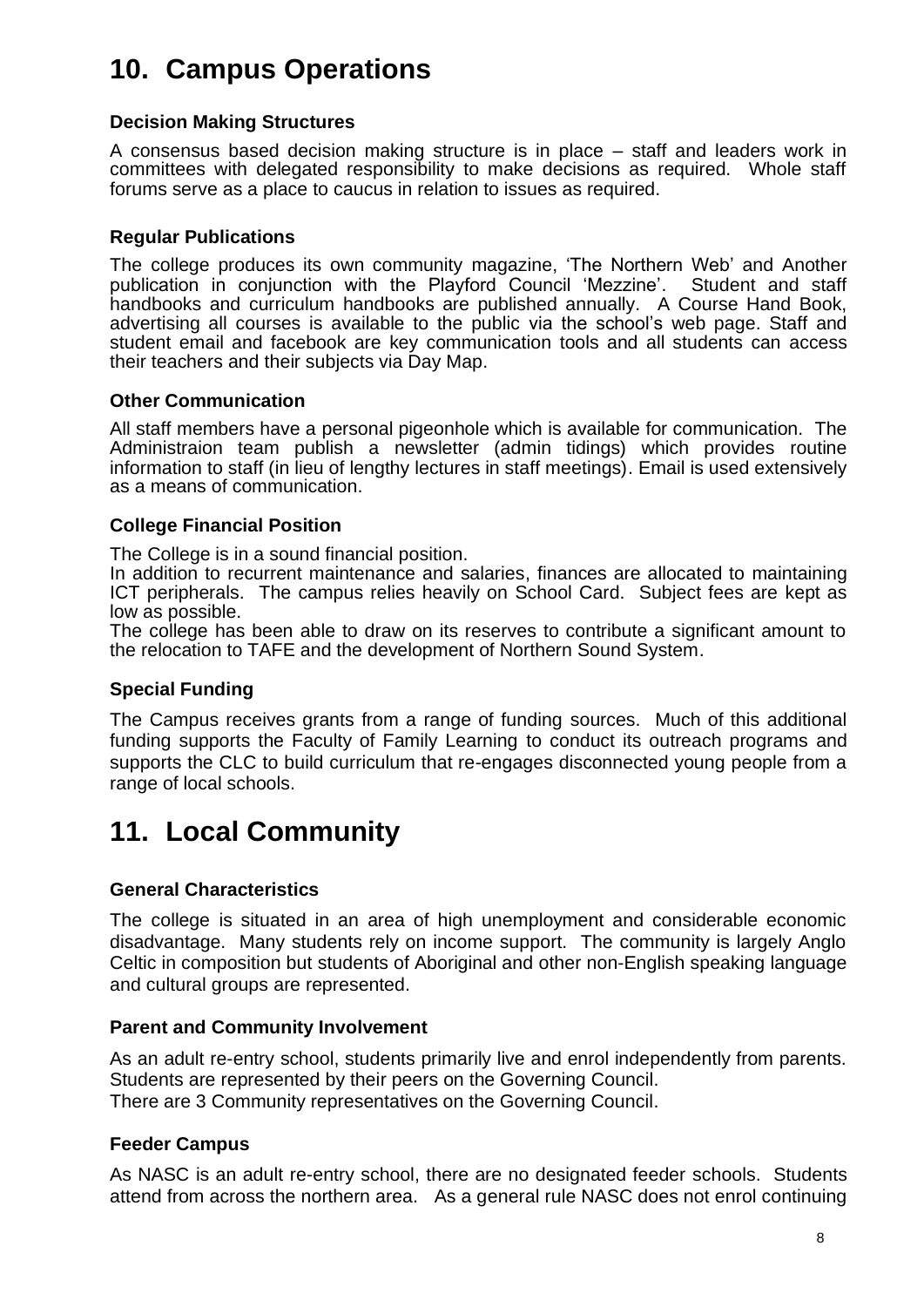## **10. Campus Operations**

#### **Decision Making Structures**

A consensus based decision making structure is in place – staff and leaders work in committees with delegated responsibility to make decisions as required. Whole staff forums serve as a place to caucus in relation to issues as required.

#### **Regular Publications**

The college produces its own community magazine, 'The Northern Web' and Another publication in conjunction with the Playford Council 'Mezzine'. Student and staff handbooks and curriculum handbooks are published annually. A Course Hand Book, advertising all courses is available to the public via the school's web page. Staff and student email and facebook are key communication tools and all students can access their teachers and their subjects via Day Map.

#### **Other Communication**

All staff members have a personal pigeonhole which is available for communication. The Administraion team publish a newsletter (admin tidings) which provides routine information to staff (in lieu of lengthy lectures in staff meetings). Email is used extensively as a means of communication.

#### **College Financial Position**

The College is in a sound financial position.

In addition to recurrent maintenance and salaries, finances are allocated to maintaining ICT peripherals. The campus relies heavily on School Card. Subject fees are kept as low as possible.

The college has been able to draw on its reserves to contribute a significant amount to the relocation to TAFE and the development of Northern Sound System.

### **Special Funding**

The Campus receives grants from a range of funding sources. Much of this additional funding supports the Faculty of Family Learning to conduct its outreach programs and supports the CLC to build curriculum that re-engages disconnected young people from a range of local schools.

## **11. Local Community**

#### **General Characteristics**

The college is situated in an area of high unemployment and considerable economic disadvantage. Many students rely on income support. The community is largely Anglo Celtic in composition but students of Aboriginal and other non-English speaking language and cultural groups are represented.

#### **Parent and Community Involvement**

As an adult re-entry school, students primarily live and enrol independently from parents. Students are represented by their peers on the Governing Council. There are 3 Community representatives on the Governing Council.

#### **Feeder Campus**

As NASC is an adult re-entry school, there are no designated feeder schools. Students attend from across the northern area. As a general rule NASC does not enrol continuing